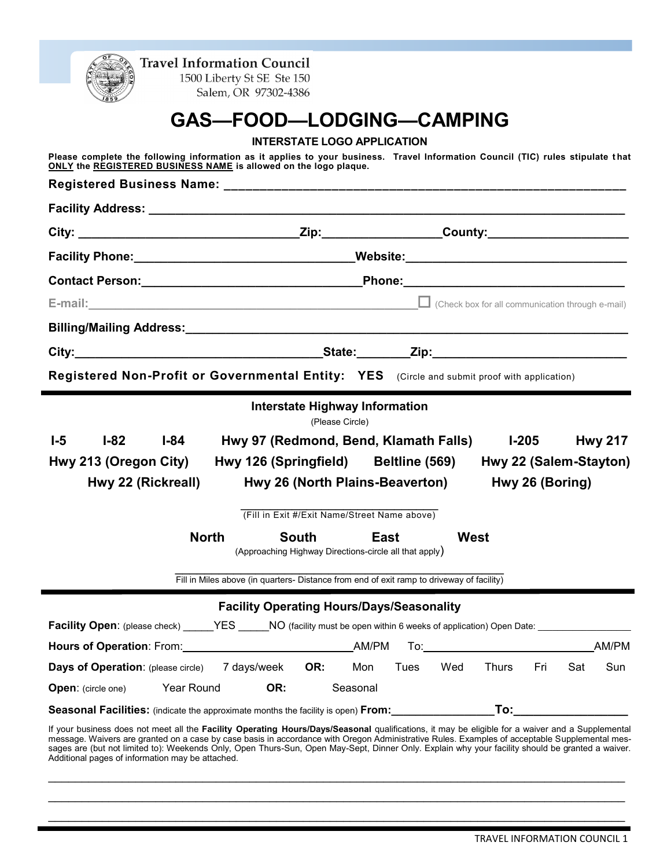| <b>Travel Information Council</b><br>1500 Liberty St SE Ste 150                                                                                                                                                                                                                                                                   |  |  |  |  |  |
|-----------------------------------------------------------------------------------------------------------------------------------------------------------------------------------------------------------------------------------------------------------------------------------------------------------------------------------|--|--|--|--|--|
| Salem, OR 97302-4386                                                                                                                                                                                                                                                                                                              |  |  |  |  |  |
| GAS-FOOD-LODGING-CAMPING                                                                                                                                                                                                                                                                                                          |  |  |  |  |  |
| <b>INTERSTATE LOGO APPLICATION</b>                                                                                                                                                                                                                                                                                                |  |  |  |  |  |
| Please complete the following information as it applies to your business. Travel Information Council (TIC) rules stipulate that<br>ONLY the REGISTERED BUSINESS NAME is allowed on the logo plaque.                                                                                                                               |  |  |  |  |  |
|                                                                                                                                                                                                                                                                                                                                   |  |  |  |  |  |
|                                                                                                                                                                                                                                                                                                                                   |  |  |  |  |  |
|                                                                                                                                                                                                                                                                                                                                   |  |  |  |  |  |
|                                                                                                                                                                                                                                                                                                                                   |  |  |  |  |  |
|                                                                                                                                                                                                                                                                                                                                   |  |  |  |  |  |
| E-mail: Check box for all communication through e-mail)                                                                                                                                                                                                                                                                           |  |  |  |  |  |
|                                                                                                                                                                                                                                                                                                                                   |  |  |  |  |  |
|                                                                                                                                                                                                                                                                                                                                   |  |  |  |  |  |
| Registered Non-Profit or Governmental Entity: YES (Circle and submit proof with application)                                                                                                                                                                                                                                      |  |  |  |  |  |
|                                                                                                                                                                                                                                                                                                                                   |  |  |  |  |  |
| <b>Interstate Highway Information</b><br>(Please Circle)                                                                                                                                                                                                                                                                          |  |  |  |  |  |
| Hwy 97 (Redmond, Bend, Klamath Falls) l-205<br>$1-5$<br>$I-82$<br>I-84<br><b>Hwy 217</b>                                                                                                                                                                                                                                          |  |  |  |  |  |
| Hwy 213 (Oregon City)<br>Hwy 126 (Springfield) Beltline (569) Hwy 22 (Salem-Stayton)                                                                                                                                                                                                                                              |  |  |  |  |  |
| Hwy 26 (North Plains-Beaverton) Hwy 26 (Boring)<br>Hwy 22 (Rickreall)                                                                                                                                                                                                                                                             |  |  |  |  |  |
| (Fill in Exit #/Exit Name/Street Name above)                                                                                                                                                                                                                                                                                      |  |  |  |  |  |
| <b>West</b><br><b>North</b><br>South<br>East                                                                                                                                                                                                                                                                                      |  |  |  |  |  |
| (Approaching Highway Directions-circle all that apply)                                                                                                                                                                                                                                                                            |  |  |  |  |  |
| Fill in Miles above (in quarters- Distance from end of exit ramp to driveway of facility)                                                                                                                                                                                                                                         |  |  |  |  |  |
|                                                                                                                                                                                                                                                                                                                                   |  |  |  |  |  |
|                                                                                                                                                                                                                                                                                                                                   |  |  |  |  |  |
| <b>Facility Operating Hours/Days/Seasonality</b><br>Facility Open: (please check) ______YES ______NO (facility must be open within 6 weeks of application) Open Date: _____________________                                                                                                                                       |  |  |  |  |  |
| AM/PM                                                                                                                                                                                                                                                                                                                             |  |  |  |  |  |
| <b>Days of Operation:</b> (please circle) 7 days/week<br>OR:<br>Sun<br>Mon<br>Tues<br>Wed<br>Thurs<br>Fri<br>Sat                                                                                                                                                                                                                  |  |  |  |  |  |
| Year Round<br>OR:<br>Seasonal<br><b>Open:</b> (circle one)                                                                                                                                                                                                                                                                        |  |  |  |  |  |
| To: the contract of the contract of the contract of the contract of the contract of the contract of the contract of the contract of the contract of the contract of the contract of the contract of the contract of the contra<br><b>Seasonal Facilities:</b> (indicate the approximate months the facility is open) <b>From:</b> |  |  |  |  |  |

 $\_$  $\_$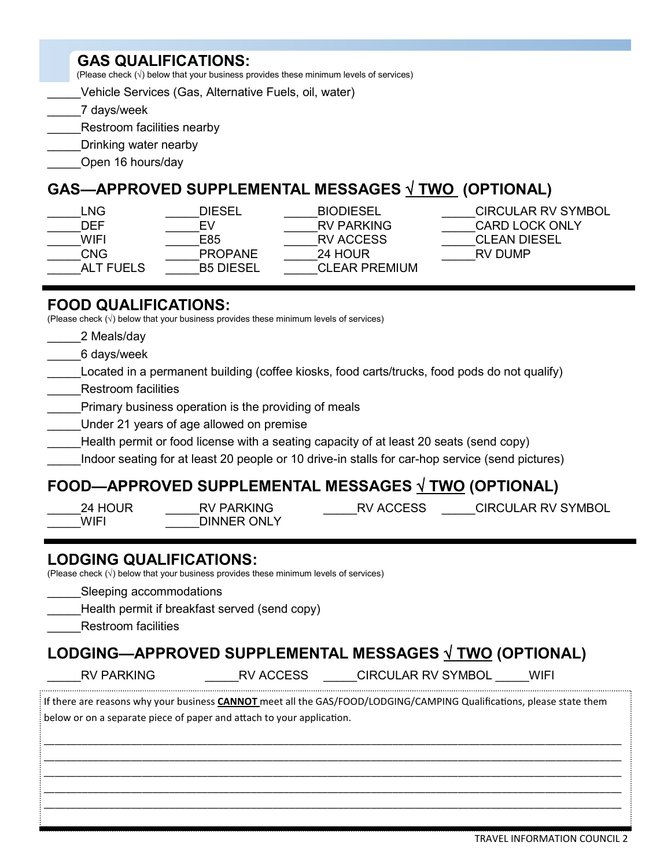## **GAS QUALIFICATIONS:**

(Please check  $(\sqrt{})$  below that your business provides these minimum levels of services)

\_\_\_\_\_Vehicle Services (Gas, Alternative Fuels, oil, water)

\_\_\_\_\_7 days/week

Restroom facilities nearby

Drinking water nearby

\_\_\_\_\_Open 16 hours/day

# **GAS—APPROVED SUPPLEMENTAL MESSAGES** √ **TWO (OPTIONAL)**

| LNG.             | DIESEL           | <b>BIODIESEL</b>     | CIRCULAR RV SYMBOL |
|------------------|------------------|----------------------|--------------------|
| DEF              | FV               | <b>RV PARKING</b>    | CARD LOCK ONLY     |
| WIFI             | E85              | RV ACCESS            | CLEAN DIESEL       |
| <b>CNG</b>       | <b>PROPANE</b>   | 24 HOUR              | RV DUMP            |
| <b>ALT FUELS</b> | <b>B5 DIESEL</b> | <b>CLEAR PREMIUM</b> |                    |
|                  |                  |                      |                    |

### **FOOD QUALIFICATIONS:**

(Please check  $(\sqrt{})$  below that your business provides these minimum levels of services)

- \_\_\_\_\_2 Meals/day
- \_\_\_\_\_6 days/week
- \_\_\_\_\_Located in a permanent building (coffee kiosks, food carts/trucks, food pods do not qualify)
- \_\_\_\_\_Restroom facilities
- Primary business operation is the providing of meals
- Under 21 years of age allowed on premise
- Health permit or food license with a seating capacity of at least 20 seats (send copy)
- Indoor seating for at least 20 people or 10 drive-in stalls for car-hop service (send pictures)

# **FOOD—APPROVED SUPPLEMENTAL MESSAGES** √ **TWO (OPTIONAL)**

- WIFI DINNER ONLY
- 

24 HOUR RV PARKING RV ACCESS CIRCULAR RV SYMBOL

### **LODGING QUALIFICATIONS:**

(Please check  $\langle \sqrt{\rangle}$  below that your business provides these minimum levels of services)

Sleeping accommodations

Health permit if breakfast served (send copy)

\_\_\_\_\_Restroom facilities

## **LODGING—APPROVED SUPPLEMENTAL MESSAGES** √ **TWO (OPTIONAL)**

RV PARKING \_\_\_\_\_\_\_\_\_\_\_\_\_RV ACCESS \_\_\_\_\_\_\_\_CIRCULAR RV SYMBOL \_\_\_\_\_WIFI 

If there are reasons why your business **CANNOT** meet all the GAS/FOOD/LODGING/CAMPING Qualifications, please state them below or on a separate piece of paper and attach to your application.

\_\_\_\_\_\_\_\_\_\_\_\_\_\_\_\_\_\_\_\_\_\_\_\_\_\_\_\_\_\_\_\_\_\_\_\_\_\_\_\_\_\_\_\_\_\_\_\_\_\_\_\_\_\_\_\_\_\_\_\_\_\_\_\_\_\_\_\_\_\_\_\_\_\_\_\_\_\_\_\_\_\_\_\_\_\_\_\_\_\_\_\_\_\_\_\_\_\_\_\_\_\_\_\_\_\_ \_\_\_\_\_\_\_\_\_\_\_\_\_\_\_\_\_\_\_\_\_\_\_\_\_\_\_\_\_\_\_\_\_\_\_\_\_\_\_\_\_\_\_\_\_\_\_\_\_\_\_\_\_\_\_\_\_\_\_\_\_\_\_\_\_\_\_\_\_\_\_\_\_\_\_\_\_\_\_\_\_\_\_\_\_\_\_\_\_\_\_\_\_\_\_\_\_\_\_\_\_\_\_\_\_\_ \_\_\_\_\_\_\_\_\_\_\_\_\_\_\_\_\_\_\_\_\_\_\_\_\_\_\_\_\_\_\_\_\_\_\_\_\_\_\_\_\_\_\_\_\_\_\_\_\_\_\_\_\_\_\_\_\_\_\_\_\_\_\_\_\_\_\_\_\_\_\_\_\_\_\_\_\_\_\_\_\_\_\_\_\_\_\_\_\_\_\_\_\_\_\_\_\_\_\_\_\_\_\_\_\_\_ \_\_\_\_\_\_\_\_\_\_\_\_\_\_\_\_\_\_\_\_\_\_\_\_\_\_\_\_\_\_\_\_\_\_\_\_\_\_\_\_\_\_\_\_\_\_\_\_\_\_\_\_\_\_\_\_\_\_\_\_\_\_\_\_\_\_\_\_\_\_\_\_\_\_\_\_\_\_\_\_\_\_\_\_\_\_\_\_\_\_\_\_\_\_\_\_\_\_\_\_\_\_\_\_\_\_ \_\_\_\_\_\_\_\_\_\_\_\_\_\_\_\_\_\_\_\_\_\_\_\_\_\_\_\_\_\_\_\_\_\_\_\_\_\_\_\_\_\_\_\_\_\_\_\_\_\_\_\_\_\_\_\_\_\_\_\_\_\_\_\_\_\_\_\_\_\_\_\_\_\_\_\_\_\_\_\_\_\_\_\_\_\_\_\_\_\_\_\_\_\_\_\_\_\_\_\_\_\_\_\_\_\_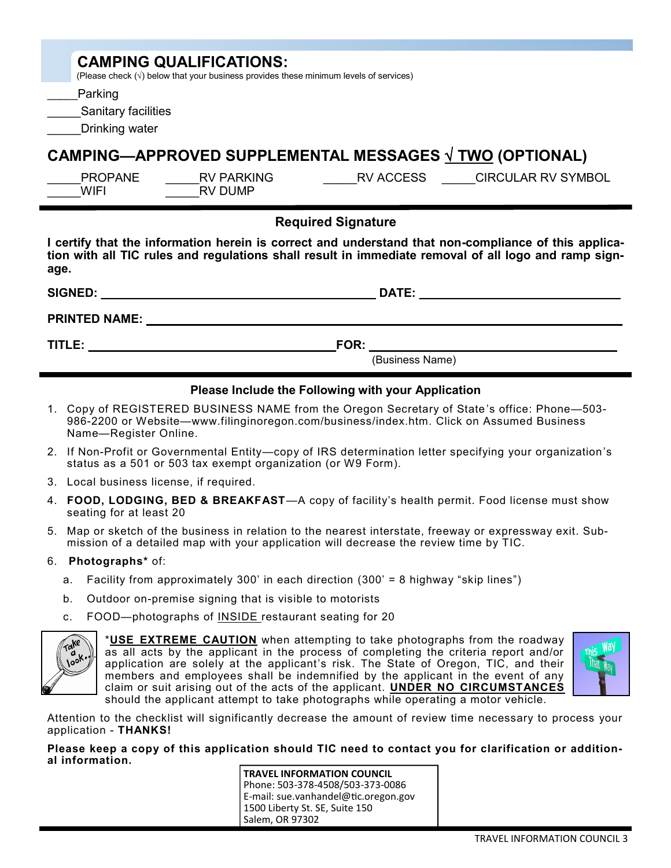| <b>CAMPING QUALIFICATIONS:</b><br>(Please check $(\sqrt{})$ below that your business provides these minimum levels of services)<br>Parking<br><b>Sanitary facilities</b><br>Drinking water                           |  |  |  |  |
|----------------------------------------------------------------------------------------------------------------------------------------------------------------------------------------------------------------------|--|--|--|--|
| <b>CAMPING—APPROVED SUPPLEMENTAL MESSAGES <math>\sqrt{TWO}</math> (OPTIONAL)</b>                                                                                                                                     |  |  |  |  |
| PROPANE<br>RV ACCESS CIRCULAR RV SYMBOL<br>RV PARKING<br><b>WIFI</b><br><b>RV DUMP</b>                                                                                                                               |  |  |  |  |
| <b>Required Signature</b>                                                                                                                                                                                            |  |  |  |  |
| I certify that the information herein is correct and understand that non-compliance of this applica-<br>tion with all TIC rules and regulations shall result in immediate removal of all logo and ramp sign-<br>age. |  |  |  |  |
|                                                                                                                                                                                                                      |  |  |  |  |
| <b>PRINTED NAME:</b><br><u> 1989 - Johann Harry Barn, mars ar breist ar breist ar breist ar breist ar breist ar breist ar breist ar breis</u>                                                                        |  |  |  |  |
| FOR:<br>TITLE:                                                                                                                                                                                                       |  |  |  |  |
| (Business Name)                                                                                                                                                                                                      |  |  |  |  |
| Please Include the Following with your Application                                                                                                                                                                   |  |  |  |  |

- 1. Copy of REGISTERED BUSINESS NAME from the Oregon Secretary of State 's office: Phone—503- 986-2200 or Website—www.filinginoregon.com/business/index.htm. Click on Assumed Business Name—Register Online.
- 2. If Non-Profit or Governmental Entity—copy of IRS determination letter specifying your organization's status as a 501 or 503 tax exempt organization (or W9 Form).
- 3. Local business license, if required.
- 4. **FOOD, LODGING, BED & BREAKFAST**—A copy of facility's health permit. Food license must show seating for at least 20
- 5. Map or sketch of the business in relation to the nearest interstate, freeway or expressway exit. Submission of a detailed map with your application will decrease the review time by TIC.
- 6. **Photographs\*** of:
	- a. Facility from approximately 300' in each direction (300' = 8 highway "skip lines")
	- b. Outdoor on-premise signing that is visible to motorists
	- c. FOOD—photographs of INSIDE restaurant seating for 20



\***USE EXTREME CAUTION** when attempting to take photographs from the roadway as all acts by the applicant in the process of completing the criteria report and/or application are solely at the applicant's risk. The State of Oregon, TIC, and their members and employees shall be indemnified by the applicant in the event of any claim or suit arising out of the acts of the applicant. **UNDER NO CIRCUMSTANCES** should the applicant attempt to take photographs while operating a motor vehicle.



Attention to the checklist will significantly decrease the amount of review time necessary to process your application - **THANKS!**

**Please keep a copy of this application should TIC need to contact you for clarification or additional information.**

**TRAVEL INFORMATION COUNCIL** Phone: 503-378-4508/503-373-0086 E-mail: sue.vanhandel@tic.oregon.gov 1500 Liberty St. SE, Suite 150 Salem, OR 97302